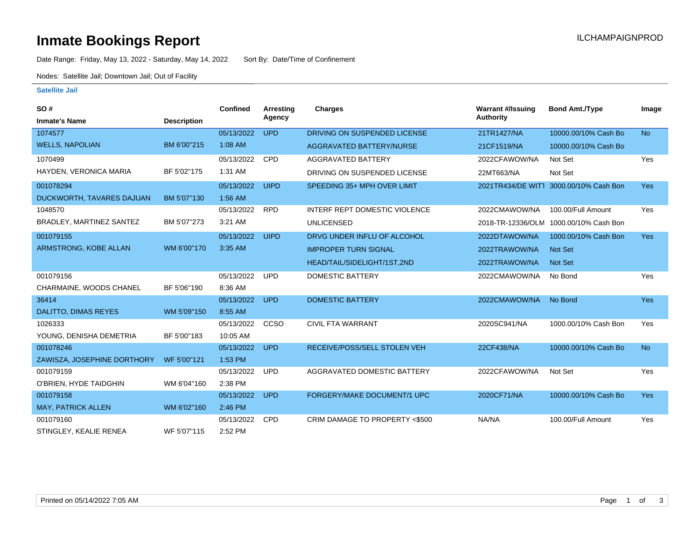# **Inmate Bookings Report Installation ILCHAMPAIGNPROD**

Date Range: Friday, May 13, 2022 - Saturday, May 14, 2022 Sort By: Date/Time of Confinement

Nodes: Satellite Jail; Downtown Jail; Out of Facility

### **Satellite Jail**

| SO#                         |                    | <b>Confined</b> | Arresting   | <b>Charges</b>                       | <b>Warrant #/Issuing</b> | <b>Bond Amt./Type</b>                  | Image      |
|-----------------------------|--------------------|-----------------|-------------|--------------------------------------|--------------------------|----------------------------------------|------------|
| <b>Inmate's Name</b>        | <b>Description</b> |                 | Agency      |                                      | Authority                |                                        |            |
| 1074577                     |                    | 05/13/2022      | <b>UPD</b>  | DRIVING ON SUSPENDED LICENSE         | 21TR1427/NA              | 10000.00/10% Cash Bo                   | <b>No</b>  |
| <b>WELLS, NAPOLIAN</b>      | BM 6'00"215        | 1:08 AM         |             | <b>AGGRAVATED BATTERY/NURSE</b>      | 21CF1519/NA              | 10000.00/10% Cash Bo                   |            |
| 1070499                     |                    | 05/13/2022      | <b>CPD</b>  | AGGRAVATED BATTERY                   | 2022CFAWOW/NA            | Not Set                                | Yes        |
| HAYDEN, VERONICA MARIA      | BF 5'02"175        | 1:31 AM         |             | DRIVING ON SUSPENDED LICENSE         | 22MT663/NA               | Not Set                                |            |
| 001078294                   |                    | 05/13/2022      | <b>UIPD</b> | SPEEDING 35+ MPH OVER LIMIT          | 2021TR434/DE WITT        | 3000.00/10% Cash Bon                   | Yes        |
| DUCKWORTH, TAVARES DAJUAN   | BM 5'07"130        | 1:56 AM         |             |                                      |                          |                                        |            |
| 1048570                     |                    | 05/13/2022      | <b>RPD</b>  | <b>INTERF REPT DOMESTIC VIOLENCE</b> | 2022CMAWOW/NA            | 100.00/Full Amount                     | Yes        |
| BRADLEY, MARTINEZ SANTEZ    | BM 5'07"273        | 3:21 AM         |             | <b>UNLICENSED</b>                    |                          | 2018-TR-12336/OLM 1000.00/10% Cash Bon |            |
| 001079155                   |                    | 05/13/2022      | <b>UIPD</b> | DRVG UNDER INFLU OF ALCOHOL          | 2022DTAWOW/NA            | 1000.00/10% Cash Bon                   | <b>Yes</b> |
| ARMSTRONG, KOBE ALLAN       | WM 6'00"170        | 3:35 AM         |             | <b>IMPROPER TURN SIGNAL</b>          | 2022TRAWOW/NA            | <b>Not Set</b>                         |            |
|                             |                    |                 |             | HEAD/TAIL/SIDELIGHT/1ST,2ND          | 2022TRAWOW/NA            | <b>Not Set</b>                         |            |
| 001079156                   |                    | 05/13/2022      | <b>UPD</b>  | <b>DOMESTIC BATTERY</b>              | 2022CMAWOW/NA            | No Bond                                | Yes        |
| CHARMAINE, WOODS CHANEL     | BF 5'06"190        | 8:36 AM         |             |                                      |                          |                                        |            |
| 36414                       |                    | 05/13/2022      | <b>UPD</b>  | <b>DOMESTIC BATTERY</b>              | 2022CMAWOW/NA            | No Bond                                | <b>Yes</b> |
| <b>DALITTO, DIMAS REYES</b> | WM 5'09"150        | 8:55 AM         |             |                                      |                          |                                        |            |
| 1026333                     |                    | 05/13/2022      | CCSO        | <b>CIVIL FTA WARRANT</b>             | 2020SC941/NA             | 1000.00/10% Cash Bon                   | Yes        |
| YOUNG, DENISHA DEMETRIA     | BF 5'00"183        | 10:05 AM        |             |                                      |                          |                                        |            |
| 001078246                   |                    | 05/13/2022      | <b>UPD</b>  | RECEIVE/POSS/SELL STOLEN VEH         | 22CF438/NA               | 10000.00/10% Cash Bo                   | <b>No</b>  |
| ZAWISZA, JOSEPHINE DORTHORY | WF 5'00"121        | 1:53 PM         |             |                                      |                          |                                        |            |
| 001079159                   |                    | 05/13/2022      | <b>UPD</b>  | AGGRAVATED DOMESTIC BATTERY          | 2022CFAWOW/NA            | Not Set                                | Yes        |
| O'BRIEN, HYDE TAIDGHIN      | WM 6'04"160        | 2:38 PM         |             |                                      |                          |                                        |            |
| 001079158                   |                    | 05/13/2022      | <b>UPD</b>  | FORGERY/MAKE DOCUMENT/1 UPC          | 2020CF71/NA              | 10000.00/10% Cash Bo                   | Yes        |
| MAY, PATRICK ALLEN          | WM 6'02"160        | 2:46 PM         |             |                                      |                          |                                        |            |
| 001079160                   |                    | 05/13/2022      | <b>CPD</b>  | CRIM DAMAGE TO PROPERTY <\$500       | NA/NA                    | 100.00/Full Amount                     | Yes        |
| STINGLEY, KEALIE RENEA      | WF 5'07"115        | 2:52 PM         |             |                                      |                          |                                        |            |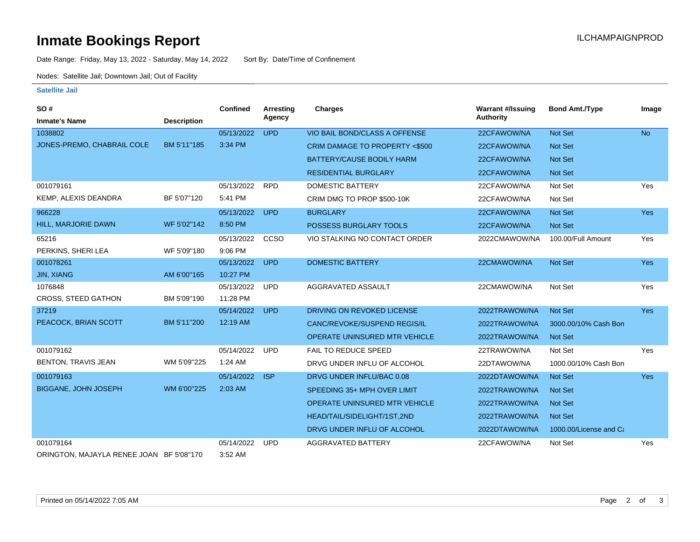# **Inmate Bookings Report Installation ILCHAMPAIGNPROD**

Date Range: Friday, May 13, 2022 - Saturday, May 14, 2022 Sort By: Date/Time of Confinement

Nodes: Satellite Jail; Downtown Jail; Out of Facility

#### **Satellite Jail**

| SO#                                      |                    | Confined   | <b>Arresting</b> | <b>Charges</b>                       | <b>Warrant #/Issuing</b> | <b>Bond Amt./Type</b>  | Image      |
|------------------------------------------|--------------------|------------|------------------|--------------------------------------|--------------------------|------------------------|------------|
| <b>Inmate's Name</b>                     | <b>Description</b> |            | Agency           |                                      | <b>Authority</b>         |                        |            |
| 1038802                                  |                    | 05/13/2022 | <b>UPD</b>       | VIO BAIL BOND/CLASS A OFFENSE        | 22CFAWOW/NA              | <b>Not Set</b>         | <b>No</b>  |
| JONES-PREMO, CHABRAIL COLE               | BM 5'11"185        | 3:34 PM    |                  | CRIM DAMAGE TO PROPERTY <\$500       | 22CFAWOW/NA              | <b>Not Set</b>         |            |
|                                          |                    |            |                  | BATTERY/CAUSE BODILY HARM            | 22CFAWOW/NA              | <b>Not Set</b>         |            |
|                                          |                    |            |                  | <b>RESIDENTIAL BURGLARY</b>          | 22CFAWOW/NA              | Not Set                |            |
| 001079161                                |                    | 05/13/2022 | <b>RPD</b>       | DOMESTIC BATTERY                     | 22CFAWOW/NA              | Not Set                | Yes        |
| KEMP, ALEXIS DEANDRA                     | BF 5'07"120        | 5:41 PM    |                  | CRIM DMG TO PROP \$500-10K           | 22CFAWOW/NA              | Not Set                |            |
| 966228                                   |                    | 05/13/2022 | <b>UPD</b>       | <b>BURGLARY</b>                      | 22CFAWOW/NA              | Not Set                | <b>Yes</b> |
| HILL, MARJORIE DAWN                      | WF 5'02"142        | 8:50 PM    |                  | POSSESS BURGLARY TOOLS               | 22CFAWOW/NA              | Not Set                |            |
| 65216                                    |                    | 05/13/2022 | CCSO             | VIO STALKING NO CONTACT ORDER        | 2022CMAWOW/NA            | 100.00/Full Amount     | Yes        |
| PERKINS, SHERI LEA                       | WF 5'09"180        | 9:06 PM    |                  |                                      |                          |                        |            |
| 001078261                                |                    | 05/13/2022 | <b>UPD</b>       | <b>DOMESTIC BATTERY</b>              | 22CMAWOW/NA              | Not Set                | <b>Yes</b> |
| <b>JIN, XIANG</b>                        | AM 6'00"165        | 10:27 PM   |                  |                                      |                          |                        |            |
| 1076848                                  |                    | 05/13/2022 | <b>UPD</b>       | AGGRAVATED ASSAULT                   | 22CMAWOW/NA              | Not Set                | Yes        |
| <b>CROSS, STEED GATHON</b>               | BM 5'09"190        | 11:28 PM   |                  |                                      |                          |                        |            |
| 37219                                    |                    | 05/14/2022 | <b>UPD</b>       | DRIVING ON REVOKED LICENSE           | 2022TRAWOW/NA            | Not Set                | <b>Yes</b> |
| PEACOCK, BRIAN SCOTT                     | BM 5'11"200        | 12:19 AM   |                  | CANC/REVOKE/SUSPEND REGIS/IL         | 2022TRAWOW/NA            | 3000.00/10% Cash Bon   |            |
|                                          |                    |            |                  | <b>OPERATE UNINSURED MTR VEHICLE</b> | 2022TRAWOW/NA            | Not Set                |            |
| 001079162                                |                    | 05/14/2022 | <b>UPD</b>       | <b>FAIL TO REDUCE SPEED</b>          | 22TRAWOW/NA              | Not Set                | Yes        |
| BENTON, TRAVIS JEAN                      | WM 5'09"225        | 1:24 AM    |                  | DRVG UNDER INFLU OF ALCOHOL          | 22DTAWOW/NA              | 1000.00/10% Cash Bon   |            |
| 001079163                                |                    | 05/14/2022 | <b>ISP</b>       | DRVG UNDER INFLU/BAC 0.08            | 2022DTAWOW/NA            | Not Set                | <b>Yes</b> |
| <b>BIGGANE, JOHN JOSEPH</b>              | WM 6'00"225        | 2:03 AM    |                  | SPEEDING 35+ MPH OVER LIMIT          | 2022TRAWOW/NA            | <b>Not Set</b>         |            |
|                                          |                    |            |                  | <b>OPERATE UNINSURED MTR VEHICLE</b> | 2022TRAWOW/NA            | <b>Not Set</b>         |            |
|                                          |                    |            |                  | HEAD/TAIL/SIDELIGHT/1ST,2ND          | 2022TRAWOW/NA            | <b>Not Set</b>         |            |
|                                          |                    |            |                  | DRVG UNDER INFLU OF ALCOHOL          | 2022DTAWOW/NA            | 1000.00/License and Ca |            |
| 001079164                                |                    | 05/14/2022 | <b>UPD</b>       | <b>AGGRAVATED BATTERY</b>            | 22CFAWOW/NA              | Not Set                | Yes        |
| ORINGTON, MAJAYLA RENEE JOAN BF 5'08"170 |                    | 3:52 AM    |                  |                                      |                          |                        |            |